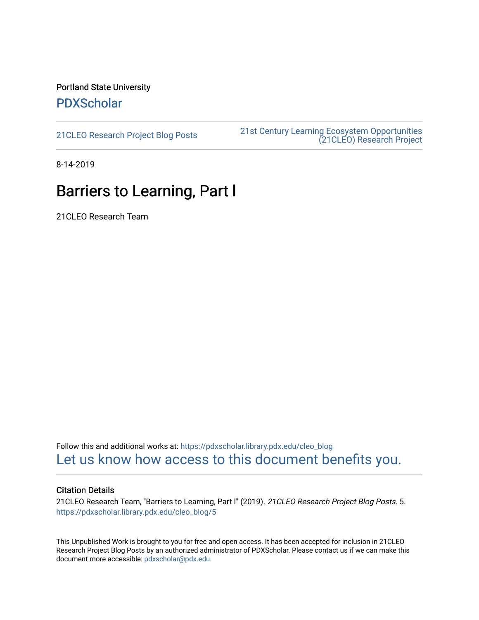Portland State University [PDXScholar](https://pdxscholar.library.pdx.edu/)

[21CLEO Research Project Blog Posts](https://pdxscholar.library.pdx.edu/cleo_blog) [21st Century Learning Ecosystem Opportunities](https://pdxscholar.library.pdx.edu/cleo)  [\(21CLEO\) Research Project](https://pdxscholar.library.pdx.edu/cleo) 

8-14-2019

## Barriers to Learning, Part l

21CLEO Research Team

Follow this and additional works at: [https://pdxscholar.library.pdx.edu/cleo\\_blog](https://pdxscholar.library.pdx.edu/cleo_blog?utm_source=pdxscholar.library.pdx.edu%2Fcleo_blog%2F5&utm_medium=PDF&utm_campaign=PDFCoverPages)  [Let us know how access to this document benefits you.](http://library.pdx.edu/services/pdxscholar-services/pdxscholar-feedback/?ref=https://pdxscholar.library.pdx.edu/cleo_blog/5) 

#### Citation Details

21CLEO Research Team, "Barriers to Learning, Part I" (2019). 21CLEO Research Project Blog Posts. 5. [https://pdxscholar.library.pdx.edu/cleo\\_blog/5](https://pdxscholar.library.pdx.edu/cleo_blog/5?utm_source=pdxscholar.library.pdx.edu%2Fcleo_blog%2F5&utm_medium=PDF&utm_campaign=PDFCoverPages) 

This Unpublished Work is brought to you for free and open access. It has been accepted for inclusion in 21CLEO Research Project Blog Posts by an authorized administrator of PDXScholar. Please contact us if we can make this document more accessible: [pdxscholar@pdx.edu.](mailto:pdxscholar@pdx.edu)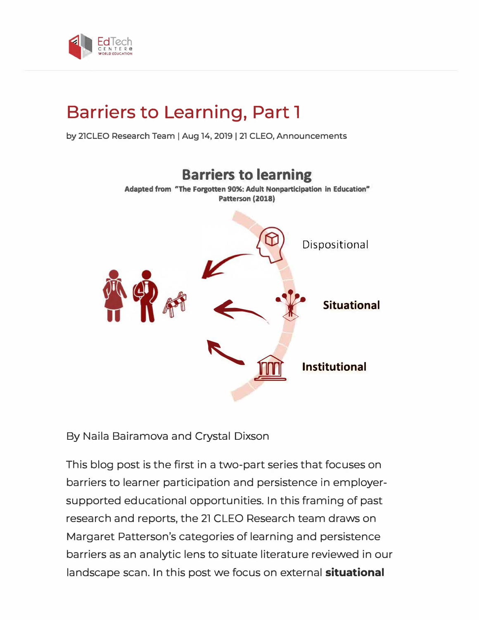

# **Barriers to Learning, Part l**

**by 21CLEO Research Team** I **Aug 14, 2019** I **21 CLEO, Announcements** 



By Naila Bairamova and Crystal Dixson

This blog post is the first in a two-part series that focuses on barriers to learner participation and persistence in employersupported educational opportunities. In this framing of past research and reports, the 21 CLEO Research team draws on Margaret Patterson's categories of learning and persistence barriers as an analytic lens to situate literature reviewed in our landscape scan. In this post we focus on external **situational**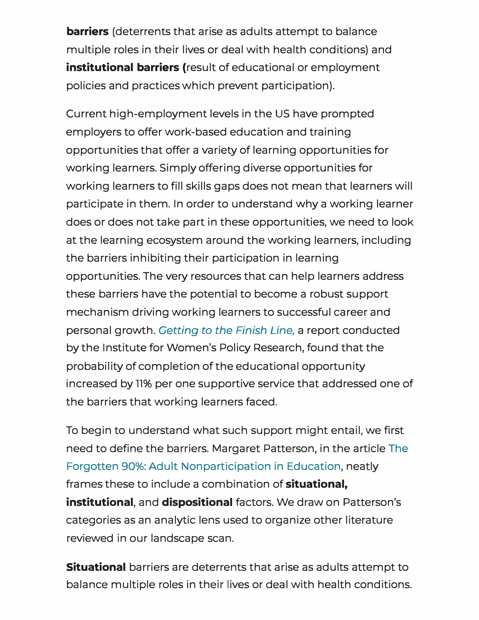**barriers** (deterrents that arise as adults attempt to balance multiple roles in their lives or deal with health conditions) and institutional barriers (result of educational or employment policies and practices which prevent participation).

Current high-employment levels in the US have prompted employers to offer work-based education and training opportunities that offer a variety of learning opportunities for working learners. Simply offering diverse opportunities for working learners to fill skills gaps does not mean that learners will participate in them. In order to understand why a working learner does or does not take part in these opportunities, we need to look at the learning ecosystem around the working learners, including the barriers inhibiting their participation in learning opportunities. The very resources that can help learners address these barriers have the potential to become a robust support mechanism driving working learners to successful career and personal growth. *Getting to the Finish Line,* a report conducted by the Institute for Women's Policy Research, found that the probability of completion of the educational opportunity increased by 11% per one supportive service that addressed one of the barriers that working learners faced.

To begin to understand what such support might entail, we first need to define the barriers. Margaret Patterson, in the article The Forgotten 90%: Adult Nonparticipation in Education, neatly frames these to include a combination of situational, institutional, and dispositional factors. We draw on Patterson's categories as an analytic lens used to organize other literature reviewed in our landscape scan.

**Situational** barriers are deterrents that arise as adults attempt to balance multiple roles in their lives or deal with health conditions.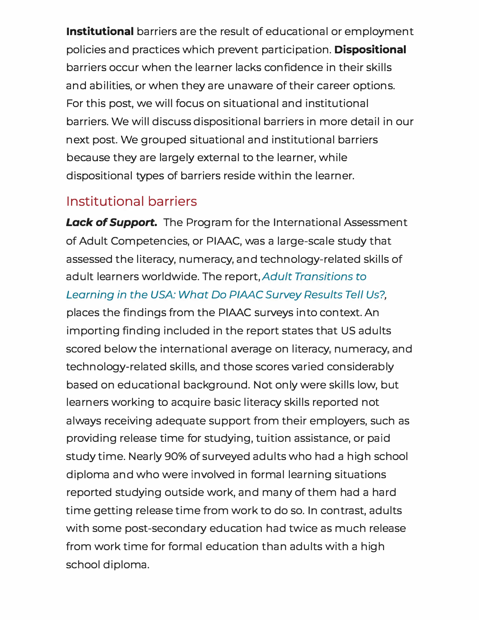Institutional barriers are the result of educational or employment policies and practices which prevent participation. Dispositional barriers occur when the learner lacks confidence in their skills and abilities, or when they are unaware of their career options. For this post, we will focus on situational and institutional barriers. We will discuss dispositional barriers in more detail in our next post. We grouped situational and institutional barriers because they are largely external to the learner, while dispositional types of barriers reside within the learner.

### **Institutional barriers**

**Lack of Support.** The Program for the International Assessment of Adult Competencies, or PIAAC, was a large-scale study that assessed the literacy, numeracy, and technology-related skills of adult learners worldwide. The report, *Adult Transitions to* Learning in the USA: What Do PIAAC Survey Results Tell Us?, places the findings from the PIAAC surveys into context. An importing finding included in the report states that US adults scored below the international average on literacy, numeracy, and technology-related skills, and those scores varied considerably based on educational background. Not only were skills low, but learners working to acquire basic literacy skills reported not always receiving adequate support from their employers, such as providing release time for studying, tuition assistance, or paid study time. Nearly 90% of surveyed adults who had a high school diploma and who were involved in formal learning situations reported studying outside work, and many of them had a hard time getting release time from work to do so. In contrast, adults with some post-secondary education had twice as much release from work time for formal education than adults with a high school diploma.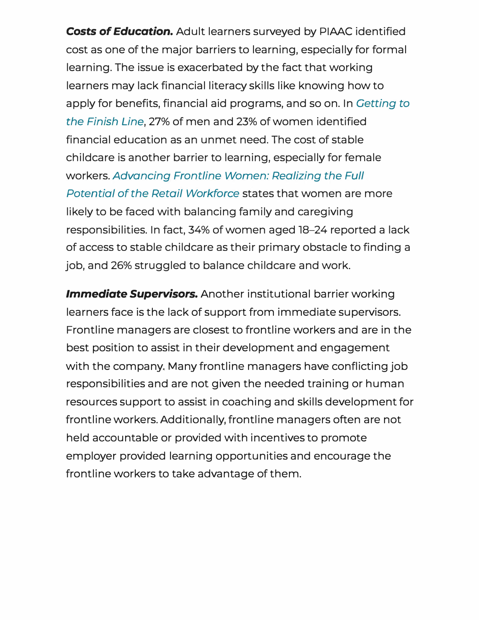Costs *of Education.* Adult learners surveyed by PIAAC identified cost as one of the major barriers to learning, especially for formal learning. The issue is exacerbated by the fact that working learners may lack financial literacy skills like knowing how to apply for benefits, financial aid programs, and so on. In *Getting to the Finish Line,* 27% of men and 23% of women identified financial education as an unmet need. The cost of stable childcare is another barrier to learning, especially for female workers. *Advancing Frontline Women: Realizing the Full Potential of the Retail Workforce* states that women are more likely to be faced with balancing family and caregiving responsibilities. In fact, 34% of women aged 18-24 reported a lack of access to stable childcare as their primary obstacle to finding a job, and 26% struggled to balance childcare and work.

*Immediate Supervisors.* Another institutional barrier working learners face is the lack of support from immediate supervisors. Frontline managers are closest to frontline workers and are in the best position to assist in their development and engagement with the company. Many frontline managers have conflicting job responsibilities and are not given the needed training or human resources support to assist in coaching and skills development for frontline workers. Additionally, frontline managers often are not held accountable or provided with incentives to promote employer provided learning opportunities and encourage the frontline workers to take advantage of them.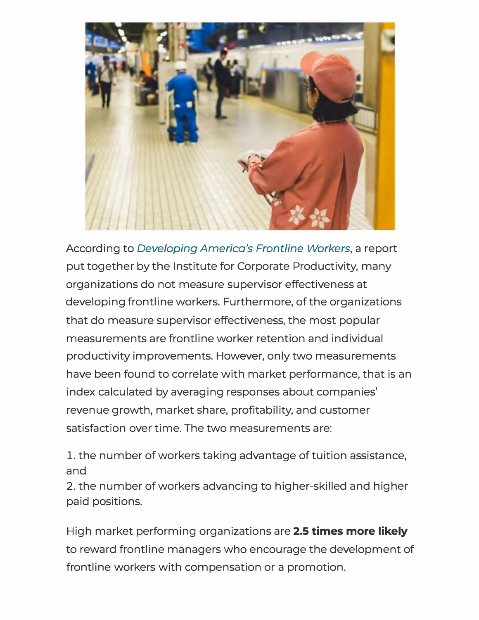

According to *Developing America's Frontline Workers,* a report put together by the Institute for Corporate Productivity, many organizations do not measure supervisor effectiveness at developing frontline workers. Furthermore, of the organizations that do measure supervisor effectiveness, the most popular measurements are frontline worker retention and individual productivity improvements. However, only two measurements have been found to correlate with market performance, that is an index calculated by averaging responses about companies' revenue growth, market share, profitability, and customer satisfaction over time. The two measurements are:

1. the number of workers taking advantage of tuition assistance, and

2. the number of workers advancing to higher-skilled and higher paid positions.

High market performing organizations are **2.5 times more likely**  to reward frontline managers who encourage the development of frontline workers with compensation or a promotion.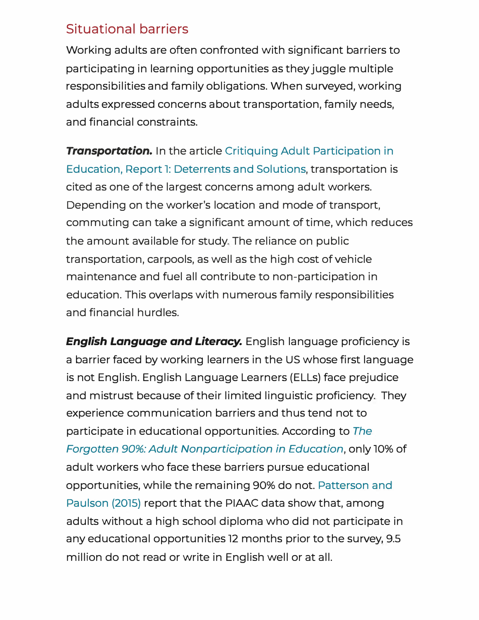#### Situational barriers

Working adults are often confronted with significant barriers to participating in learning opportunities as they juggle multiple responsibilities and family obligations. When surveyed, working adults expressed concerns about transportation, family needs, and financial constraints.

**Transportation.** In the article Critiquing Adult Participation in Education, Report l: Deterrents and Solutions, transportation is cited as one of the largest concerns among adult workers. Depending on the worker's location and mode of transport, commuting can take a significant amount of time, which reduces the amount available for study. The reliance on public transportation, carpools, as well as the high cost of vehicle maintenance and fuel all contribute to non-participation in education. This overlaps with numerous family responsibilities and financial hurdles.

*English Language and Literacy.* English language proficiency is a barrier faced by working learners in the US whose first language is not English. English Language Learners (ELLs) face prejudice and mistrust because of their limited linguistic proficiency. They experience communication barriers and thus tend not to participate in educational opportunities. According to *The Forgotten 90%: Adult Nonparticipation in Education,* only 10% of adult workers who face these barriers pursue educational opportunities, while the remaining 90% do not. Patterson and Paulson (2075) report that the PIAAC data show that, among adults without a high school diploma who did not participate in any educational opportunities 12 months prior to the survey, 9.5 million do not read or write in English well or at all.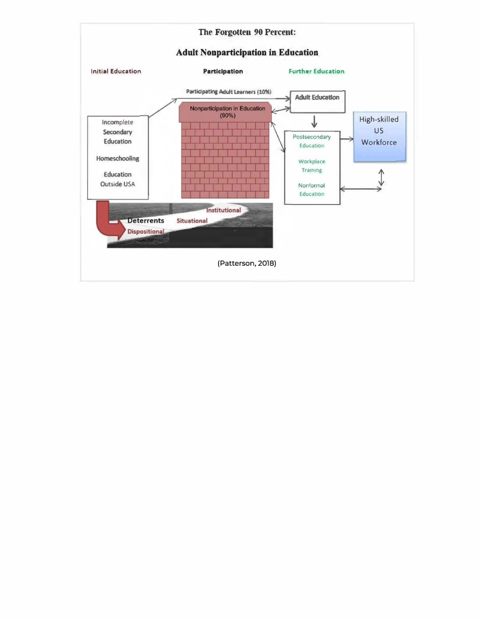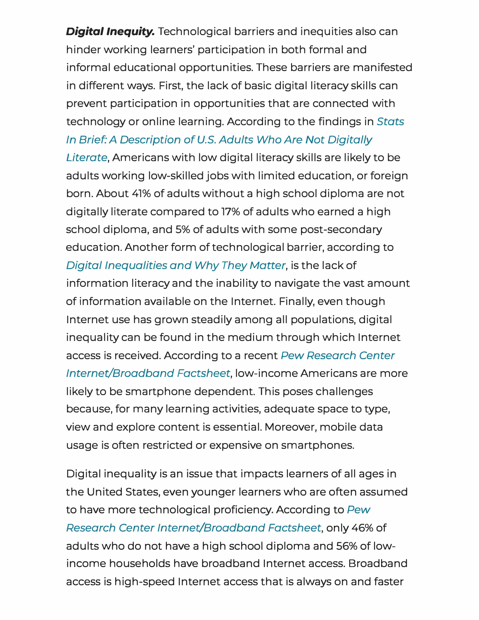**Digital Inequity.** Technological barriers and inequities also can hinder working learners' participation in both formal and informal educational opportunities. These barriers are manifested in different ways. First, the lack of basic digital literacy skills can prevent participation in opportunities that are connected with technology or on line learning. According to the findings in *Stats In Brief: A Description of U.S. Adults Who Are Not Digitally* 

*Literate,* Americans with low digital literacy skills are likely to be adults working low-skilled jobs with limited education, or foreign born. About 41% of adults without a high school diploma are not digitally literate compared to 17% of adults who earned a high school diploma, and 5% of adults with some post-secondary education. Another form of technological barrier, according to *Digital Inequalities and Why They Matter,* is the lack of information literacy and the inability to navigate the vast amount of information available on the Internet. Finally, even though Internet use has grown steadily among all populations, digital inequality can be found in the medium through which Internet access is received. According to a recent *Pew Research Center Internet/Broadband Factsheet,* low-income Americans are more likely to be smartphone dependent. This poses challenges because, for many learning activities, adequate space to type, view and explore content is essential. Moreover, mobile data usage is often restricted or expensive on smartphones.

Digital inequality is an issue that impacts learners of all ages in the United States, even younger learners who are often assumed to have more technological proficiency. According to *Pew Research Center Internet/Broadband Factsheet,* only 46% of adults who do not have a high school diploma and 56% of lowincome households have broadband Internet access. Broadband access is high-speed Internet access that is always on and faster